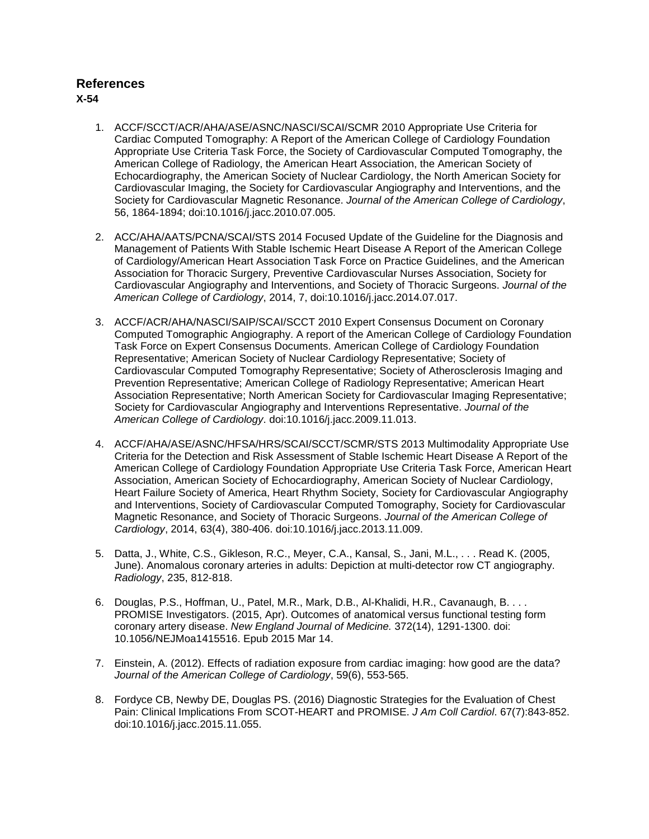# **References**

**X-54**

- 1. ACCF/SCCT/ACR/AHA/ASE/ASNC/NASCI/SCAI/SCMR 2010 Appropriate Use Criteria for Cardiac Computed Tomography: A Report of the American College of Cardiology Foundation Appropriate Use Criteria Task Force, the Society of Cardiovascular Computed Tomography, the American College of Radiology, the American Heart Association, the American Society of Echocardiography, the American Society of Nuclear Cardiology, the North American Society for Cardiovascular Imaging, the Society for Cardiovascular Angiography and Interventions, and the Society for Cardiovascular Magnetic Resonance. *Journal of the American College of Cardiology*, 56, 1864-1894; doi:10.1016/j.jacc.2010.07.005.
- 2. ACC/AHA/AATS/PCNA/SCAI/STS 2014 Focused Update of the Guideline for the Diagnosis and Management of Patients With Stable Ischemic Heart Disease A Report of the American College of Cardiology/American Heart Association Task Force on Practice Guidelines, and the American Association for Thoracic Surgery, Preventive Cardiovascular Nurses Association, Society for Cardiovascular Angiography and Interventions, and Society of Thoracic Surgeons. *Journal of the American College of Cardiology*, 2014, 7, doi:10.1016/j.jacc.2014.07.017.
- 3. ACCF/ACR/AHA/NASCI/SAIP/SCAI/SCCT 2010 Expert Consensus Document on Coronary Computed Tomographic Angiography. A report of the American College of Cardiology Foundation Task Force on Expert Consensus Documents. American College of Cardiology Foundation Representative; American Society of Nuclear Cardiology Representative; Society of Cardiovascular Computed Tomography Representative; Society of Atherosclerosis Imaging and Prevention Representative; American College of Radiology Representative; American Heart Association Representative; North American Society for Cardiovascular Imaging Representative; Society for Cardiovascular Angiography and Interventions Representative. *Journal of the American College of Cardiology*. doi:10.1016/j.jacc.2009.11.013.
- 4. ACCF/AHA/ASE/ASNC/HFSA/HRS/SCAI/SCCT/SCMR/STS 2013 Multimodality Appropriate Use Criteria for the Detection and Risk Assessment of Stable Ischemic Heart Disease A Report of the American College of Cardiology Foundation Appropriate Use Criteria Task Force, American Heart Association, American Society of Echocardiography, American Society of Nuclear Cardiology, Heart Failure Society of America, Heart Rhythm Society, Society for Cardiovascular Angiography and Interventions, Society of Cardiovascular Computed Tomography, Society for Cardiovascular Magnetic Resonance, and Society of Thoracic Surgeons. *Journal of the American College of Cardiology*, 2014, 63(4), 380-406. doi:10.1016/j.jacc.2013.11.009.
- 5. Datta, J., White, C.S., Gikleson, R.C., Meyer, C.A., Kansal, S., Jani, M.L., . . . Read K. (2005, June). Anomalous coronary arteries in adults: Depiction at multi-detector row CT angiography. *Radiology*, 235, 812-818.
- 6. Douglas, P.S., Hoffman, U., Patel, M.R., Mark, D.B., Al-Khalidi, H.R., Cavanaugh, B. . . . PROMISE Investigators. (2015, Apr). Outcomes of anatomical versus functional testing form coronary artery disease. *New England Journal of Medicine.* 372(14), 1291-1300. doi: 10.1056/NEJMoa1415516. Epub 2015 Mar 14.
- 7. Einstein, A. (2012). Effects of radiation exposure from cardiac imaging: how good are the data? *Journal of the American College of Cardiology*, 59(6), 553-565.
- 8. Fordyce CB, Newby DE, Douglas PS. (2016) Diagnostic Strategies for the Evaluation of Chest Pain: Clinical Implications From SCOT-HEART and PROMISE. *J Am Coll Cardiol*. 67(7):843-852. doi:10.1016/j.jacc.2015.11.055.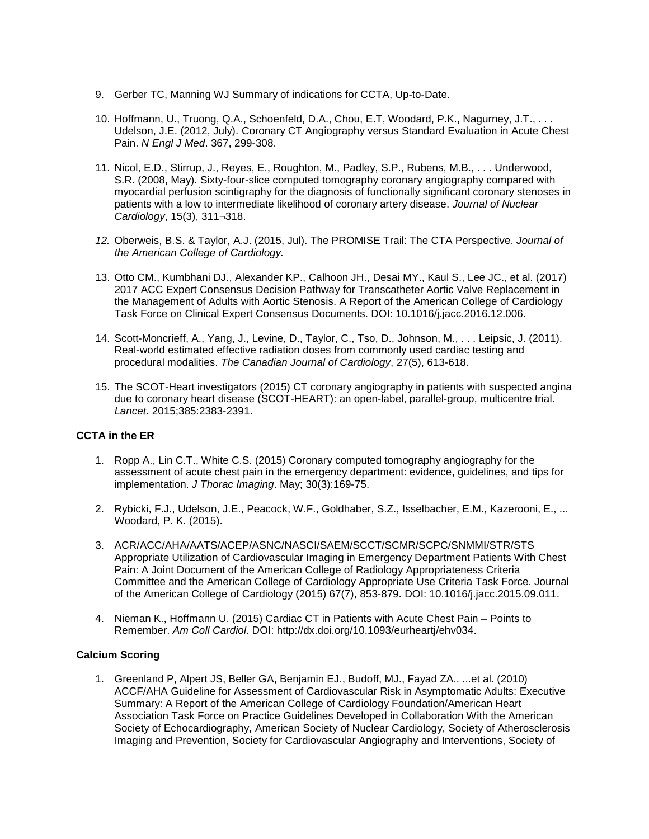- 9. Gerber TC, Manning WJ Summary of indications for CCTA, Up-to-Date.
- 10. Hoffmann, U., Truong, Q.A., Schoenfeld, D.A., Chou, E.T, Woodard, P.K., Nagurney, J.T., . . . Udelson, J.E. (2012, July). Coronary CT Angiography versus Standard Evaluation in Acute Chest Pain. *N Engl J Med*. 367, 299-308.
- 11. Nicol, E.D., Stirrup, J., Reyes, E., Roughton, M., Padley, S.P., Rubens, M.B., . . . Underwood, S.R. (2008, May). Sixty-four-slice computed tomography coronary angiography compared with myocardial perfusion scintigraphy for the diagnosis of functionally significant coronary stenoses in patients with a low to intermediate likelihood of coronary artery disease. *Journal of Nuclear Cardiology*, 15(3), 311¬318.
- *12.* Oberweis, B.S. & Taylor, A.J. (2015, Jul). The PROMISE Trail: The CTA Perspective. *Journal of the American College of Cardiology.*
- 13. Otto CM., Kumbhani DJ., Alexander KP., Calhoon JH., Desai MY., Kaul S., Lee JC., et al. (2017) 2017 ACC Expert Consensus Decision Pathway for Transcatheter Aortic Valve Replacement in the Management of Adults with Aortic Stenosis. A Report of the American College of Cardiology Task Force on Clinical Expert Consensus Documents. DOI: 10.1016/j.jacc.2016.12.006.
- 14. Scott-Moncrieff, A., Yang, J., Levine, D., Taylor, C., Tso, D., Johnson, M., . . . Leipsic, J. (2011). Real-world estimated effective radiation doses from commonly used cardiac testing and procedural modalities. *The Canadian Journal of Cardiology*, 27(5), 613-618.
- 15. The SCOT-Heart investigators (2015) CT coronary angiography in patients with suspected angina due to coronary heart disease (SCOT-HEART): an open-label, parallel-group, multicentre trial. *Lancet*. 2015;385:2383-2391.

## **CCTA in the ER**

- 1. Ropp A., Lin C.T., White C.S. (2015) Coronary computed tomography angiography for the assessment of acute chest pain in the emergency department: evidence, guidelines, and tips for implementation. *J Thorac Imaging*. May; 30(3):169-75.
- 2. Rybicki, F.J., Udelson, J.E., Peacock, W.F., Goldhaber, S.Z., Isselbacher, E.M., Kazerooni, E., ... Woodard, P. K. (2015).
- 3. ACR/ACC/AHA/AATS/ACEP/ASNC/NASCI/SAEM/SCCT/SCMR/SCPC/SNMMI/STR/STS Appropriate Utilization of Cardiovascular Imaging in Emergency Department Patients With Chest Pain: A Joint Document of the American College of Radiology Appropriateness Criteria Committee and the American College of Cardiology Appropriate Use Criteria Task Force. Journal of the American College of Cardiology (2015) 67(7), 853-879. DOI: 10.1016/j.jacc.2015.09.011.
- 4. Nieman K., Hoffmann U. (2015) Cardiac CT in Patients with Acute Chest Pain Points to Remember. *Am Coll Cardiol*. DOI: http://dx.doi.org/10.1093/eurheartj/ehv034.

#### **Calcium Scoring**

1. Greenland P, Alpert JS, Beller GA, Benjamin EJ., Budoff, MJ., Fayad ZA.. ...et al. (2010) ACCF/AHA Guideline for Assessment of Cardiovascular Risk in Asymptomatic Adults: Executive Summary: A Report of the American College of Cardiology Foundation/American Heart Association Task Force on Practice Guidelines Developed in Collaboration With the American Society of Echocardiography, American Society of Nuclear Cardiology, Society of Atherosclerosis Imaging and Prevention, Society for Cardiovascular Angiography and Interventions, Society of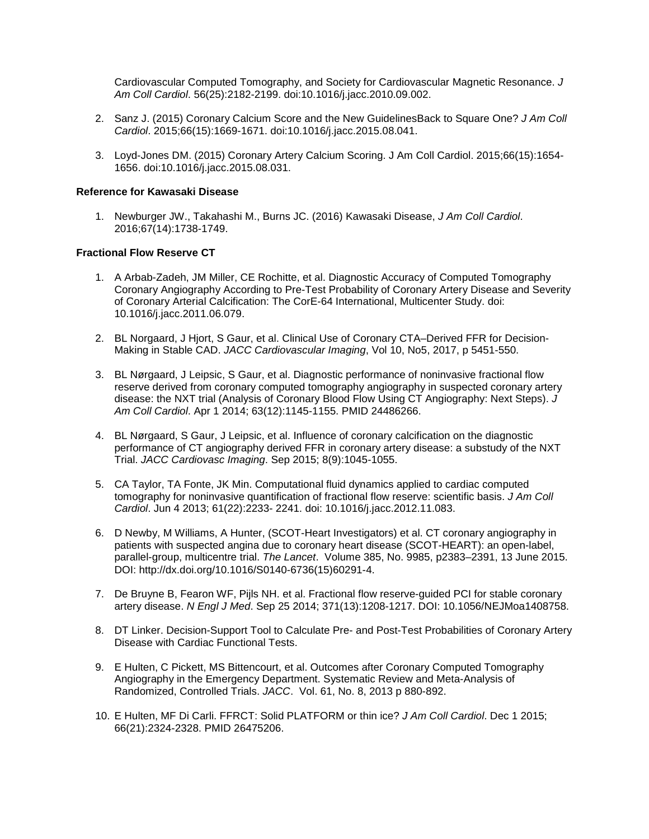Cardiovascular Computed Tomography, and Society for Cardiovascular Magnetic Resonance. *J Am Coll Cardiol*. 56(25):2182-2199. doi:10.1016/j.jacc.2010.09.002.

- 2. Sanz J. (2015) Coronary Calcium Score and the New GuidelinesBack to Square One? *J Am Coll Cardiol*. 2015;66(15):1669-1671. doi:10.1016/j.jacc.2015.08.041.
- 3. Loyd-Jones DM. (2015) Coronary Artery Calcium Scoring. J Am Coll Cardiol. 2015;66(15):1654- 1656. doi:10.1016/j.jacc.2015.08.031.

### **Reference for Kawasaki Disease**

1. Newburger JW., Takahashi M., Burns JC. (2016) Kawasaki Disease, *J Am Coll Cardiol*. 2016;67(14):1738-1749.

#### **Fractional Flow Reserve CT**

- 1. A Arbab-Zadeh, JM Miller, CE Rochitte, et al. Diagnostic Accuracy of Computed Tomography Coronary Angiography According to Pre-Test Probability of Coronary Artery Disease and Severity of Coronary Arterial Calcification: The CorE-64 International, Multicenter Study. doi: 10.1016/j.jacc.2011.06.079.
- 2. BL Norgaard, J Hjort, S Gaur, et al. Clinical Use of Coronary CTA–Derived FFR for Decision-Making in Stable CAD. *JACC Cardiovascular Imaging*, Vol 10, No5, 2017, p 5451-550.
- 3. BL Nørgaard, J Leipsic, S Gaur, et al. Diagnostic performance of noninvasive fractional flow reserve derived from coronary computed tomography angiography in suspected coronary artery disease: the NXT trial (Analysis of Coronary Blood Flow Using CT Angiography: Next Steps). *J Am Coll Cardiol*. Apr 1 2014; 63(12):1145-1155. PMID 24486266.
- 4. BL Nørgaard, S Gaur, J Leipsic, et al. Influence of coronary calcification on the diagnostic performance of CT angiography derived FFR in coronary artery disease: a substudy of the NXT Trial. *JACC Cardiovasc Imaging*. Sep 2015; 8(9):1045-1055.
- 5. CA Taylor, TA Fonte, JK Min. Computational fluid dynamics applied to cardiac computed tomography for noninvasive quantification of fractional flow reserve: scientific basis. *J Am Coll Cardiol*. Jun 4 2013; 61(22):2233- 2241. doi: 10.1016/j.jacc.2012.11.083.
- 6. D Newby, M Williams, A Hunter, (SCOT-Heart Investigators) et al. CT coronary angiography in patients with suspected angina due to coronary heart disease (SCOT-HEART): an open-label, parallel-group, multicentre trial. *The Lancet*. Volume 385, No. 9985, p2383–2391, 13 June 2015. DOI: http://dx.doi.org/10.1016/S0140-6736(15)60291-4.
- 7. De Bruyne B, Fearon WF, Pijls NH. et al. Fractional flow reserve-guided PCI for stable coronary artery disease. *N Engl J Med*. Sep 25 2014; 371(13):1208-1217. DOI: 10.1056/NEJMoa1408758.
- 8. DT Linker. Decision-Support Tool to Calculate Pre- and Post-Test Probabilities of Coronary Artery Disease with Cardiac Functional Tests.
- 9. E Hulten, C Pickett, MS Bittencourt, et al. Outcomes after Coronary Computed Tomography Angiography in the Emergency Department. Systematic Review and Meta-Analysis of Randomized, Controlled Trials. *JACC*. Vol. 61, No. 8, 2013 p 880-892.
- 10. E Hulten, MF Di Carli. FFRCT: Solid PLATFORM or thin ice? *J Am Coll Cardiol*. Dec 1 2015; 66(21):2324-2328. PMID 26475206.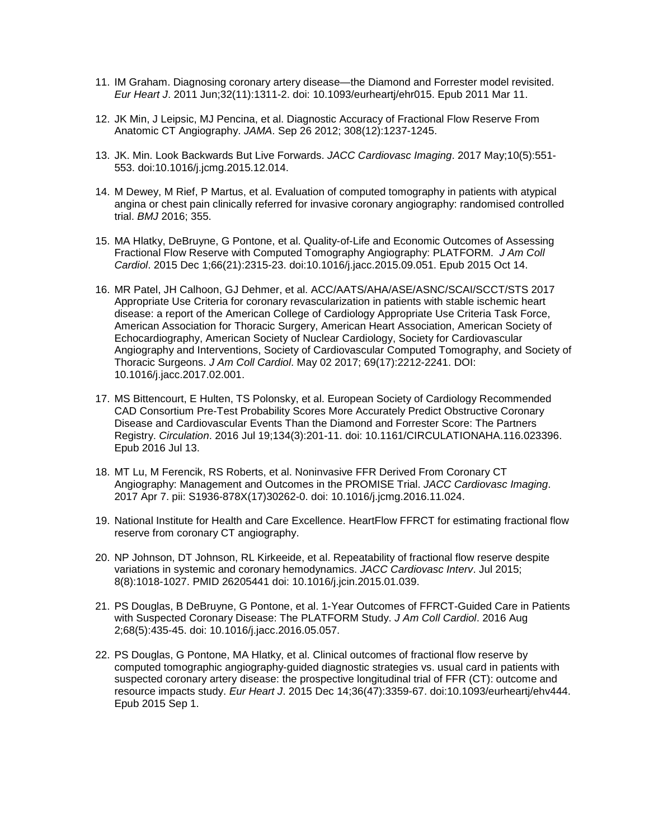- 11. IM Graham. Diagnosing coronary artery disease—the Diamond and Forrester model revisited. *Eur Heart J*. 2011 Jun;32(11):1311-2. doi: 10.1093/eurheartj/ehr015. Epub 2011 Mar 11.
- 12. JK Min, J Leipsic, MJ Pencina, et al. Diagnostic Accuracy of Fractional Flow Reserve From Anatomic CT Angiography. *JAMA*. Sep 26 2012; 308(12):1237-1245.
- 13. JK. Min. Look Backwards But Live Forwards. *JACC Cardiovasc Imaging*. 2017 May;10(5):551- 553. doi:10.1016/j.jcmg.2015.12.014.
- 14. M Dewey, M Rief, P Martus, et al. Evaluation of computed tomography in patients with atypical angina or chest pain clinically referred for invasive coronary angiography: randomised controlled trial. *BMJ* 2016; 355.
- 15. MA Hlatky, DeBruyne, G Pontone, et al. Quality-of-Life and Economic Outcomes of Assessing Fractional Flow Reserve with Computed Tomography Angiography: PLATFORM. *J Am Coll Cardiol*. 2015 Dec 1;66(21):2315-23. doi:10.1016/j.jacc.2015.09.051. Epub 2015 Oct 14.
- 16. MR Patel, JH Calhoon, GJ Dehmer, et al. ACC/AATS/AHA/ASE/ASNC/SCAI/SCCT/STS 2017 Appropriate Use Criteria for coronary revascularization in patients with stable ischemic heart disease: a report of the American College of Cardiology Appropriate Use Criteria Task Force, American Association for Thoracic Surgery, American Heart Association, American Society of Echocardiography, American Society of Nuclear Cardiology, Society for Cardiovascular Angiography and Interventions, Society of Cardiovascular Computed Tomography, and Society of Thoracic Surgeons. *J Am Coll Cardiol*. May 02 2017; 69(17):2212-2241. DOI: 10.1016/j.jacc.2017.02.001.
- 17. MS Bittencourt, E Hulten, TS Polonsky, et al. European Society of Cardiology Recommended CAD Consortium Pre-Test Probability Scores More Accurately Predict Obstructive Coronary Disease and Cardiovascular Events Than the Diamond and Forrester Score: The Partners Registry. *Circulation*. 2016 Jul 19;134(3):201-11. doi: 10.1161/CIRCULATIONAHA.116.023396. Epub 2016 Jul 13.
- 18. MT Lu, M Ferencik, RS Roberts, et al. Noninvasive FFR Derived From Coronary CT Angiography: Management and Outcomes in the PROMISE Trial. *JACC Cardiovasc Imaging*. 2017 Apr 7. pii: S1936-878X(17)30262-0. doi: 10.1016/j.jcmg.2016.11.024.
- 19. National Institute for Health and Care Excellence. HeartFlow FFRCT for estimating fractional flow reserve from coronary CT angiography.
- 20. NP Johnson, DT Johnson, RL Kirkeeide, et al. Repeatability of fractional flow reserve despite variations in systemic and coronary hemodynamics. *JACC Cardiovasc Interv*. Jul 2015; 8(8):1018-1027. PMID 26205441 doi: 10.1016/j.jcin.2015.01.039.
- 21. PS Douglas, B DeBruyne, G Pontone, et al. 1-Year Outcomes of FFRCT-Guided Care in Patients with Suspected Coronary Disease: The PLATFORM Study. *J Am Coll Cardiol*. 2016 Aug 2;68(5):435-45. doi: 10.1016/j.jacc.2016.05.057.
- 22. PS Douglas, G Pontone, MA Hlatky, et al. Clinical outcomes of fractional flow reserve by computed tomographic angiography-guided diagnostic strategies vs. usual card in patients with suspected coronary artery disease: the prospective longitudinal trial of FFR (CT): outcome and resource impacts study. *Eur Heart J*. 2015 Dec 14;36(47):3359-67. doi:10.1093/eurheartj/ehv444. Epub 2015 Sep 1.